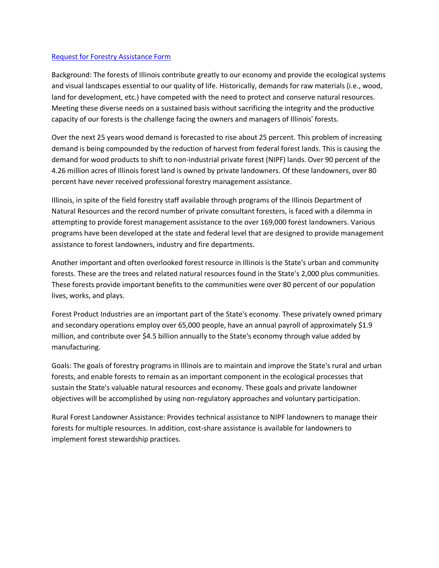## [Request for Forestry Assistance Form](https://wwwdnr.partner.illinois.gov/conservation/Forestry/Documents/RequestforForestryAssistance.pdf)

Background: The forests of Illinois contribute greatly to our economy and provide the ecological systems and visual landscapes essential to our quality of life. Historically, demands for raw materials (i.e., wood, land for development, etc.) have competed with the need to protect and conserve natural resources. Meeting these diverse needs on a sustained basis without sacrificing the integrity and the productive capacity of our forests is the challenge facing the owners and managers of Illinois' forests.

Over the next 25 years wood demand is forecasted to rise about 25 percent. This problem of increasing demand is being compounded by the reduction of harvest from federal forest lands. This is causing the demand for wood products to shift to non-industrial private forest (NIPF) lands. Over 90 percent of the 4.26 million acres of Illinois forest land is owned by private landowners. Of these landowners, over 80 percent have never received professional forestry management assistance.

Illinois, in spite of the field forestry staff available through programs of the Illinois Department of Natural Resources and the record number of private consultant foresters, is faced with a dilemma in attempting to provide forest management assistance to the over 169,000 forest landowners. Various programs have been developed at the state and federal level that are designed to provide management assistance to forest landowners, industry and fire departments.

Another important and often overlooked forest resource in Illinois is the State's urban and community forests. These are the trees and related natural resources found in the State's 2,000 plus communities. These forests provide important benefits to the communities were over 80 percent of our population lives, works, and plays.

Forest Product Industries are an important part of the State's economy. These privately owned primary and secondary operations employ over 65,000 people, have an annual payroll of approximately \$1.9 million, and contribute over \$4.5 billion annually to the State's economy through value added by manufacturing.

Goals: The goals of forestry programs in Illinois are to maintain and improve the State's rural and urban forests, and enable forests to remain as an important component in the ecological processes that sustain the State's valuable natural resources and economy. These goals and private landowner objectives will be accomplished by using non-regulatory approaches and voluntary participation.

Rural Forest Landowner Assistance: Provides technical assistance to NIPF landowners to manage their forests for multiple resources. In addition, cost-share assistance is available for landowners to implement forest stewardship practices.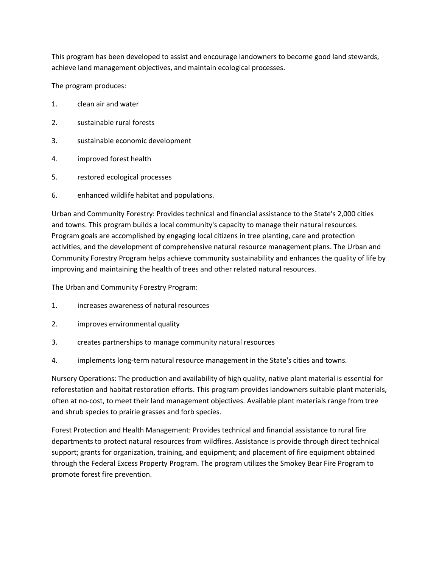This program has been developed to assist and encourage landowners to become good land stewards, achieve land management objectives, and maintain ecological processes.

The program produces:

- 1. clean air and water
- 2. sustainable rural forests
- 3. sustainable economic development
- 4. improved forest health
- 5. restored ecological processes
- 6. enhanced wildlife habitat and populations.

Urban and Community Forestry: Provides technical and financial assistance to the State's 2,000 cities and towns. This program builds a local community's capacity to manage their natural resources. Program goals are accomplished by engaging local citizens in tree planting, care and protection activities, and the development of comprehensive natural resource management plans. The Urban and Community Forestry Program helps achieve community sustainability and enhances the quality of life by improving and maintaining the health of trees and other related natural resources.

The Urban and Community Forestry Program:

- 1. increases awareness of natural resources
- 2. improves environmental quality
- 3. creates partnerships to manage community natural resources
- 4. implements long-term natural resource management in the State's cities and towns.

Nursery Operations: The production and availability of high quality, native plant material is essential for reforestation and habitat restoration efforts. This program provides landowners suitable plant materials, often at no-cost, to meet their land management objectives. Available plant materials range from tree and shrub species to prairie grasses and forb species.

Forest Protection and Health Management: Provides technical and financial assistance to rural fire departments to protect natural resources from wildfires. Assistance is provide through direct technical support; grants for organization, training, and equipment; and placement of fire equipment obtained through the Federal Excess Property Program. The program utilizes the Smokey Bear Fire Program to promote forest fire prevention.